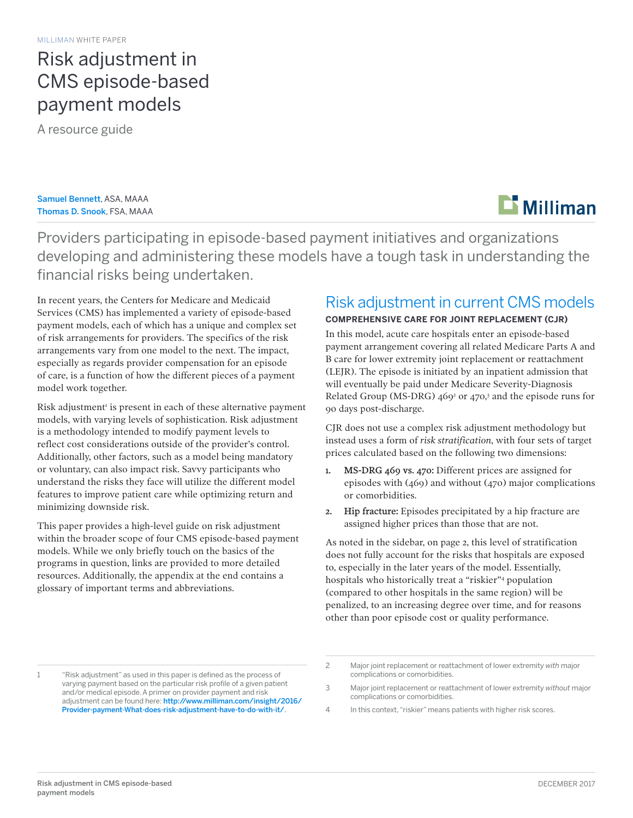# Risk adjustment in CMS episode-based payment models

A resource guide

### Samuel Bennett, ASA, MAAA Thomas D. Snook, FSA, MAAA

# $\mathbf{L}$  Milliman

Providers participating in episode-based payment initiatives and organizations developing and administering these models have a tough task in understanding the financial risks being undertaken.

In recent years, the Centers for Medicare and Medicaid Services (CMS) has implemented a variety of episode-based payment models, each of which has a unique and complex set of risk arrangements for providers. The specifics of the risk arrangements vary from one model to the next. The impact, especially as regards provider compensation for an episode of care, is a function of how the different pieces of a payment model work together.

Risk adjustment<sup>1</sup> is present in each of these alternative payment models, with varying levels of sophistication. Risk adjustment is a methodology intended to modify payment levels to reflect cost considerations outside of the provider's control. Additionally, other factors, such as a model being mandatory or voluntary, can also impact risk. Savvy participants who understand the risks they face will utilize the different model features to improve patient care while optimizing return and minimizing downside risk.

This paper provides a high-level guide on risk adjustment within the broader scope of four CMS episode-based payment models. While we only briefly touch on the basics of the programs in question, links are provided to more detailed resources. Additionally, the appendix at the end contains a glossary of important terms and abbreviations.

## Risk adjustment in current CMS models

### **COMPREHENSIVE CARE FOR JOINT REPLACEMENT (CJR)**

In this model, acute care hospitals enter an episode-based payment arrangement covering all related Medicare Parts A and B care for lower extremity joint replacement or reattachment (LEJR). The episode is initiated by an inpatient admission that will eventually be paid under Medicare Severity-Diagnosis Related Group (MS-DRG) 469<sup>2</sup> or 470,<sup>3</sup> and the episode runs for 90 days post-discharge.

CJR does not use a complex risk adjustment methodology but instead uses a form of *risk stratification*, with four sets of target prices calculated based on the following two dimensions:

- 1. MS-DRG 469 vs. 470: Different prices are assigned for episodes with (469) and without (470) major complications or comorbidities.
- 2. Hip fracture: Episodes precipitated by a hip fracture are assigned higher prices than those that are not.

As noted in the sidebar, on page 2, this level of stratification does not fully account for the risks that hospitals are exposed to, especially in the later years of the model. Essentially, hospitals who historically treat a "riskier"4 population (compared to other hospitals in the same region) will be penalized, to an increasing degree over time, and for reasons other than poor episode cost or quality performance.

1 "Risk adjustment" as used in this paper is defined as the process of varying payment based on the particular risk profile of a given patient and/or medical episode. A primer on provider payment and risk adjustment can be found here: [http://www.milliman.com/insight/2016/](http://www.milliman.com/insight/2016/Provider-payment-What-does-risk-adjustment-have-to-do-with-it/) [Provider-payment-What-does-risk-adjustment-have-to-do-with-it/](http://www.milliman.com/insight/2016/Provider-payment-What-does-risk-adjustment-have-to-do-with-it/).

4 In this context, "riskier" means patients with higher risk scores.

<sup>2</sup> Major joint replacement or reattachment of lower extremity *with* major complications or comorbidities.

<sup>3</sup> Major joint replacement or reattachment of lower extremity *without* major complications or comorbidities.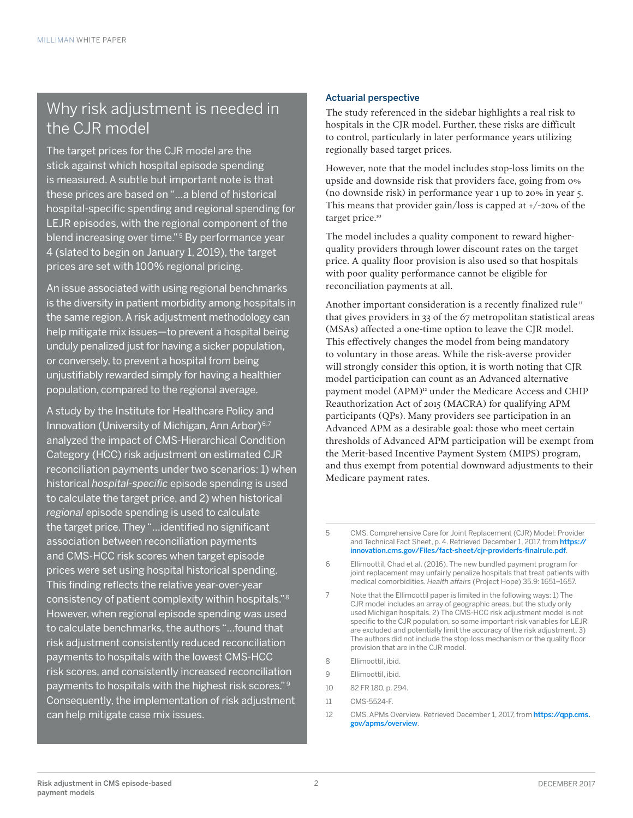## Why risk adjustment is needed in the CJR model

The target prices for the CJR model are the stick against which hospital episode spending is measured. A subtle but important note is that these prices are based on "…a blend of historical hospital-specific spending and regional spending for LEJR episodes, with the regional component of the blend increasing over time."<sup>5</sup> By performance year 4 (slated to begin on January 1, 2019), the target prices are set with 100% regional pricing.

An issue associated with using regional benchmarks is the diversity in patient morbidity among hospitals in the same region. A risk adjustment methodology can help mitigate mix issues—to prevent a hospital being unduly penalized just for having a sicker population, or conversely, to prevent a hospital from being unjustifiably rewarded simply for having a healthier population, compared to the regional average.

A study by the Institute for Healthcare Policy and Innovation (University of Michigan, Ann Arbor)<sup>6,7</sup> analyzed the impact of CMS-Hierarchical Condition Category (HCC) risk adjustment on estimated CJR reconciliation payments under two scenarios: 1) when historical *hospital-specific* episode spending is used to calculate the target price, and 2) when historical *regional* episode spending is used to calculate the target price. They "…identified no significant association between reconciliation payments and CMS-HCC risk scores when target episode prices were set using hospital historical spending. This finding reflects the relative year-over-year consistency of patient complexity within hospitals."8 However, when regional episode spending was used to calculate benchmarks, the authors "…found that risk adjustment consistently reduced reconciliation payments to hospitals with the lowest CMS-HCC risk scores, and consistently increased reconciliation payments to hospitals with the highest risk scores." <sup>9</sup> Consequently, the implementation of risk adjustment can help mitigate case mix issues.

### Actuarial perspective

The study referenced in the sidebar highlights a real risk to hospitals in the CJR model. Further, these risks are difficult to control, particularly in later performance years utilizing regionally based target prices.

However, note that the model includes stop-loss limits on the upside and downside risk that providers face, going from 0% (no downside risk) in performance year 1 up to 20% in year 5. This means that provider gain/loss is capped at +/-20% of the target price.<sup>10</sup>

The model includes a quality component to reward higherquality providers through lower discount rates on the target price. A quality floor provision is also used so that hospitals with poor quality performance cannot be eligible for reconciliation payments at all.

Another important consideration is a recently finalized rule<sup> $n$ </sup> that gives providers in 33 of the 67 metropolitan statistical areas (MSAs) affected a one-time option to leave the CJR model. This effectively changes the model from being mandatory to voluntary in those areas. While the risk-averse provider will strongly consider this option, it is worth noting that CJR model participation can count as an Advanced alternative payment model (APM)<sup>12</sup> under the Medicare Access and CHIP Reauthorization Act of 2015 (MACRA) for qualifying APM participants (QPs). Many providers see participation in an Advanced APM as a desirable goal: those who meet certain thresholds of Advanced APM participation will be exempt from the Merit-based Incentive Payment System (MIPS) program, and thus exempt from potential downward adjustments to their Medicare payment rates.

- 8 Fllimoottil, ibid.
- 9 Ellimoottil, ibid.
- 10 82 FR 180, p. 294.
- 11 CMS-5524-F.
- 12 CMS. APMs Overview. Retrieved December 1, 2017, from https://gpp.cms. [gov/apms/overview](https://qpp.cms.gov/apms/overview).

<sup>5</sup> CMS. Comprehensive Care for Joint Replacement (CJR) Model: Provider and Technical Fact Sheet, p. 4. Retrieved December 1, 2017, from [https://](https://innovation.cms.gov/Files/fact-sheet/cjr-providerfs-finalrule.pdf) [innovation.cms.gov/Files/fact-sheet/cjr-providerfs-finalrule.pdf](https://innovation.cms.gov/Files/fact-sheet/cjr-providerfs-finalrule.pdf).

<sup>6</sup> Ellimoottil, Chad et al. (2016). The new bundled payment program for joint replacement may unfairly penalize hospitals that treat patients with medical comorbidities. *Health affairs* (Project Hope) 35.9: 1651–1657.

<sup>7</sup> Note that the Ellimoottil paper is limited in the following ways: 1) The CJR model includes an array of geographic areas, but the study only used Michigan hospitals. 2) The CMS-HCC risk adjustment model is not specific to the CJR population, so some important risk variables for LEJR are excluded and potentially limit the accuracy of the risk adjustment. 3) The authors did not include the stop-loss mechanism or the quality floor provision that are in the CJR model.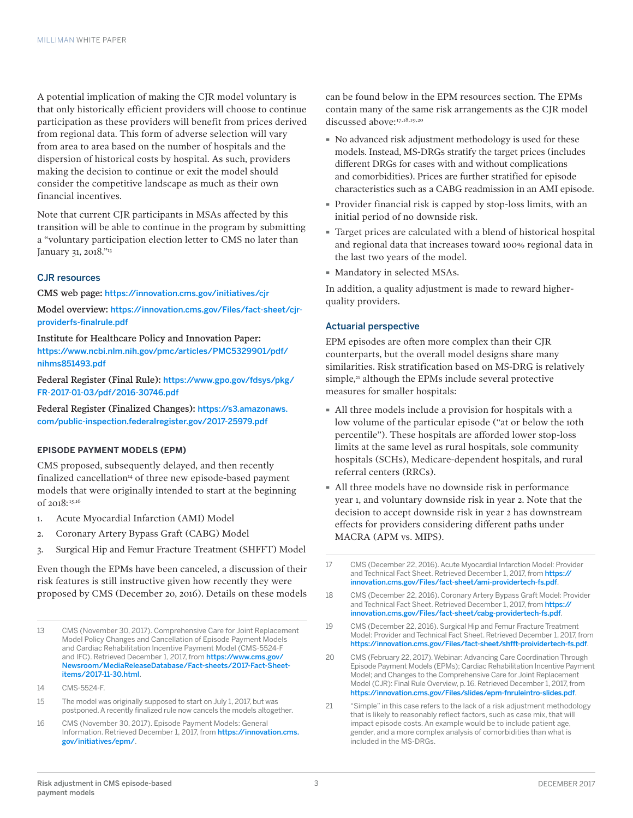A potential implication of making the CJR model voluntary is that only historically efficient providers will choose to continue participation as these providers will benefit from prices derived from regional data. This form of adverse selection will vary from area to area based on the number of hospitals and the dispersion of historical costs by hospital. As such, providers making the decision to continue or exit the model should consider the competitive landscape as much as their own financial incentives.

Note that current CJR participants in MSAs affected by this transition will be able to continue in the program by submitting a "voluntary participation election letter to CMS no later than January 31, 2018."13

#### CJR resources

CMS web page: <https://innovation.cms.gov/initiatives/cjr>

Model overview: [https://innovation.cms.gov/Files/fact-sheet/cjr](https://innovation.cms.gov/Files/fact-sheet/cjr-providerfs-finalrule.pdf)[providerfs-finalrule.pdf](https://innovation.cms.gov/Files/fact-sheet/cjr-providerfs-finalrule.pdf)

Institute for Healthcare Policy and Innovation Paper: [https://www.ncbi.nlm.nih.gov/pmc/articles/PMC5329901/pdf/](https://www.ncbi.nlm.nih.gov/pmc/articles/PMC5329901/pdf/nihms851493.pdf) [nihms851493.pdf](https://www.ncbi.nlm.nih.gov/pmc/articles/PMC5329901/pdf/nihms851493.pdf)

Federal Register (Final Rule): [https://www.gpo.gov/fdsys/pkg/](https://www.gpo.gov/fdsys/pkg/FR-2017-01-03/pdf/2016-30746.pdf) [FR-2017-01-03/pdf/2016-30746.pdf](https://www.gpo.gov/fdsys/pkg/FR-2017-01-03/pdf/2016-30746.pdf)

Federal Register (Finalized Changes): [https://s3.amazonaws.](https://s3.amazonaws.com/public-inspection.federalregister.gov/2017-25979.pdf) [com/public-inspection.federalregister.gov/2017-25979.pdf](https://s3.amazonaws.com/public-inspection.federalregister.gov/2017-25979.pdf)

#### **EPISODE PAYMENT MODELS (EPM)**

CMS proposed, subsequently delayed, and then recently finalized cancellation<sup>14</sup> of three new episode-based payment models that were originally intended to start at the beginning of 2018: 15,16

- 1. Acute Myocardial Infarction (AMI) Model
- 2. Coronary Artery Bypass Graft (CABG) Model
- 3. Surgical Hip and Femur Fracture Treatment (SHFFT) Model

Even though the EPMs have been canceled, a discussion of their risk features is still instructive given how recently they were proposed by CMS (December 20, 2016). Details on these models

15 The model was originally supposed to start on July 1, 2017, but was postponed. A recently finalized rule now cancels the models altogether.

16 CMS (November 30, 2017). Episode Payment Models: General Information. Retrieved December 1, 2017, from [https://innovation.cms.](https://innovation.cms.gov/initiatives/epm/) [gov/initiatives/epm/](https://innovation.cms.gov/initiatives/epm/).

can be found below in the EPM resources section. The EPMs contain many of the same risk arrangements as the CJR model discussed above:17,18,19,20

- · No advanced risk adjustment methodology is used for these models. Instead, MS-DRGs stratify the target prices (includes different DRGs for cases with and without complications and comorbidities). Prices are further stratified for episode characteristics such as a CABG readmission in an AMI episode.
- · Provider financial risk is capped by stop-loss limits, with an initial period of no downside risk.
- · Target prices are calculated with a blend of historical hospital and regional data that increases toward 100% regional data in the last two years of the model.
- · Mandatory in selected MSAs.

In addition, a quality adjustment is made to reward higherquality providers.

#### Actuarial perspective

EPM episodes are often more complex than their CJR counterparts, but the overall model designs share many similarities. Risk stratification based on MS-DRG is relatively simple,<sup>21</sup> although the EPMs include several protective measures for smaller hospitals:

- · All three models include a provision for hospitals with a low volume of the particular episode ("at or below the 10th percentile"). These hospitals are afforded lower stop-loss limits at the same level as rural hospitals, sole community hospitals (SCHs), Medicare-dependent hospitals, and rural referral centers (RRCs).
- · All three models have no downside risk in performance year 1, and voluntary downside risk in year 2. Note that the decision to accept downside risk in year 2 has downstream effects for providers considering different paths under MACRA (APM vs. MIPS).
- 17 CMS (December 22, 2016). Acute Myocardial Infarction Model: Provider and Technical Fact Sheet. Retrieved December 1, 2017, from [https://](https://innovation.cms.gov/Files/fact-sheet/ami-providertech-fs.pdf) [innovation.cms.gov/Files/fact-sheet/ami-providertech-fs.pdf](https://innovation.cms.gov/Files/fact-sheet/ami-providertech-fs.pdf).
- 18 CMS (December 22, 2016). Coronary Artery Bypass Graft Model: Provider and Technical Fact Sheet. Retrieved December 1, 2017, from [https://](https://innovation.cms.gov/Files/fact-sheet/cabg-providertech-fs.pdf) [innovation.cms.gov/Files/fact-sheet/cabg-providertech-fs.pdf](https://innovation.cms.gov/Files/fact-sheet/cabg-providertech-fs.pdf).
- 19 CMS (December 22, 2016). Surgical Hip and Femur Fracture Treatment Model: Provider and Technical Fact Sheet. Retrieved December 1, 2017, from <https://innovation.cms.gov/Files/fact-sheet/shfft-proividertech-fs.pdf>.
- 20 CMS (February 22, 2017). Webinar: Advancing Care Coordination Through Episode Payment Models (EPMs); Cardiac Rehabilitation Incentive Payment Model; and Changes to the Comprehensive Care for Joint Replacement Model (CJR): Final Rule Overview, p. 16. Retrieved December 1, 2017, from <https://innovation.cms.gov/Files/slides/epm-fnruleintro-slides.pdf>.
- 21 "Simple" in this case refers to the lack of a risk adjustment methodology that is likely to reasonably reflect factors, such as case mix, that will impact episode costs. An example would be to include patient age, gender, and a more complex analysis of comorbidities than what is included in the MS-DRGs.

<sup>13</sup> CMS (November 30, 2017). Comprehensive Care for Joint Replacement Model Policy Changes and Cancellation of Episode Payment Models and Cardiac Rehabilitation Incentive Payment Model (CMS-5524-F and IFC). Retrieved December 1, 2017, from [https://www.cms.gov/](https://www.cms.gov/Newsroom/MediaReleaseDatabase/Fact-sheets/2017-Fact-Sheet-items/2017-11-30.html) [Newsroom/MediaReleaseDatabase/Fact-sheets/2017-Fact-Sheet](https://www.cms.gov/Newsroom/MediaReleaseDatabase/Fact-sheets/2017-Fact-Sheet-items/2017-11-30.html)[items/2017-11-30.html](https://www.cms.gov/Newsroom/MediaReleaseDatabase/Fact-sheets/2017-Fact-Sheet-items/2017-11-30.html).

<sup>14</sup> CMS-5524-F.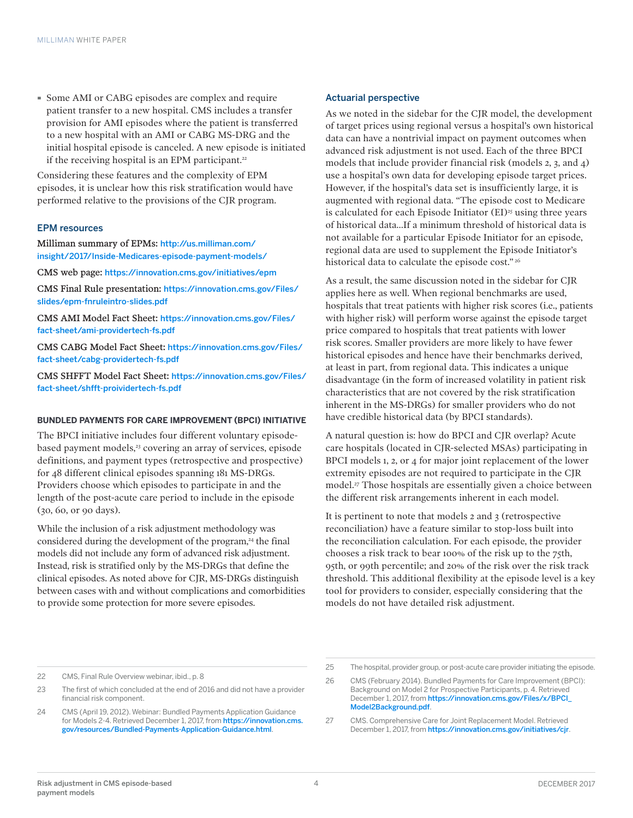· Some AMI or CABG episodes are complex and require patient transfer to a new hospital. CMS includes a transfer provision for AMI episodes where the patient is transferred to a new hospital with an AMI or CABG MS-DRG and the initial hospital episode is canceled. A new episode is initiated if the receiving hospital is an EPM participant.<sup>22</sup>

Considering these features and the complexity of EPM episodes, it is unclear how this risk stratification would have performed relative to the provisions of the CJR program.

#### EPM resources

Milliman summary of EPMs: [http://us.milliman.com/](http://us.milliman.com/insight/2017/Inside-Medicares-episode-payment-models/) [insight/2017/Inside-Medicares-episode-payment-models/](http://us.milliman.com/insight/2017/Inside-Medicares-episode-payment-models/)

CMS web page: <https://innovation.cms.gov/initiatives/epm>

CMS Final Rule presentation: [https://innovation.cms.gov/Files/](https://innovation.cms.gov/Files/slides/epm-fnruleintro-slides.pdf) [slides/epm-fnruleintro-slides.pdf](https://innovation.cms.gov/Files/slides/epm-fnruleintro-slides.pdf)

CMS AMI Model Fact Sheet: [https://innovation.cms.gov/Files/](https://innovation.cms.gov/Files/fact-sheet/ami-providertech-fs.pdf) [fact-sheet/ami-providertech-fs.pdf](https://innovation.cms.gov/Files/fact-sheet/ami-providertech-fs.pdf)

CMS CABG Model Fact Sheet: [https://innovation.cms.gov/Files/](https://innovation.cms.gov/Files/fact-sheet/cabg-providertech-fs.pdf) [fact-sheet/cabg-providertech-fs.pdf](https://innovation.cms.gov/Files/fact-sheet/cabg-providertech-fs.pdf)

CMS SHFFT Model Fact Sheet: [https://innovation.cms.gov/Files/](https://innovation.cms.gov/Files/fact-sheet/shfft-proividertech-fs.pdf) [fact-sheet/shfft-proividertech-fs.pdf](https://innovation.cms.gov/Files/fact-sheet/shfft-proividertech-fs.pdf)

#### **BUNDLED PAYMENTS FOR CARE IMPROVEMENT (BPCI) INITIATIVE**

The BPCI initiative includes four different voluntary episodebased payment models,<sup>23</sup> covering an array of services, episode definitions, and payment types (retrospective and prospective) for 48 different clinical episodes spanning 181 MS-DRGs. Providers choose which episodes to participate in and the length of the post-acute care period to include in the episode (30, 60, or 90 days).

While the inclusion of a risk adjustment methodology was considered during the development of the program,<sup>24</sup> the final models did not include any form of advanced risk adjustment. Instead, risk is stratified only by the MS-DRGs that define the clinical episodes. As noted above for CJR, MS-DRGs distinguish between cases with and without complications and comorbidities to provide some protection for more severe episodes.

#### Actuarial perspective

As we noted in the sidebar for the CJR model, the development of target prices using regional versus a hospital's own historical data can have a nontrivial impact on payment outcomes when advanced risk adjustment is not used. Each of the three BPCI models that include provider financial risk (models 2, 3, and 4) use a hospital's own data for developing episode target prices. However, if the hospital's data set is insufficiently large, it is augmented with regional data. "The episode cost to Medicare is calculated for each Episode Initiator  $(EI)^{25}$  using three years of historical data…If a minimum threshold of historical data is not available for a particular Episode Initiator for an episode, regional data are used to supplement the Episode Initiator's historical data to calculate the episode cost."<sup>26</sup>

As a result, the same discussion noted in the sidebar for CJR applies here as well. When regional benchmarks are used, hospitals that treat patients with higher risk scores (i.e., patients with higher risk) will perform worse against the episode target price compared to hospitals that treat patients with lower risk scores. Smaller providers are more likely to have fewer historical episodes and hence have their benchmarks derived, at least in part, from regional data. This indicates a unique disadvantage (in the form of increased volatility in patient risk characteristics that are not covered by the risk stratification inherent in the MS-DRGs) for smaller providers who do not have credible historical data (by BPCI standards).

A natural question is: how do BPCI and CJR overlap? Acute care hospitals (located in CJR-selected MSAs) participating in BPCI models 1, 2, or 4 for major joint replacement of the lower extremity episodes are not required to participate in the CJR model.27 Those hospitals are essentially given a choice between the different risk arrangements inherent in each model.

It is pertinent to note that models 2 and 3 (retrospective reconciliation) have a feature similar to stop-loss built into the reconciliation calculation. For each episode, the provider chooses a risk track to bear 100% of the risk up to the 75th, 95th, or 99th percentile; and 20% of the risk over the risk track threshold. This additional flexibility at the episode level is a key tool for providers to consider, especially considering that the models do not have detailed risk adjustment.

<sup>22</sup> CMS, Final Rule Overview webinar, ibid., p. 8

<sup>23</sup> The first of which concluded at the end of 2016 and did not have a provider financial risk component.

<sup>24</sup> CMS (April 19, 2012). Webinar: Bundled Payments Application Guidance for Models 2-4. Retrieved December 1, 2017, from [https://innovation.cms.](https://innovation.cms.gov/resources/Bundled-Payments-Application-Guidance.html) [gov/resources/Bundled-Payments-Application-Guidance.html](https://innovation.cms.gov/resources/Bundled-Payments-Application-Guidance.html).

<sup>25</sup> The hospital, provider group, or post-acute care provider initiating the episode.

<sup>26</sup> CMS (February 2014). Bundled Payments for Care Improvement (BPCI): Background on Model 2 for Prospective Participants, p. 4. Retrieved December 1, 2017, from [https://innovation.cms.gov/Files/x/BPCI\\_](https://innovation.cms.gov/Files/x/BPCI_Model2Background.pdf) [Model2Background.pdf](https://innovation.cms.gov/Files/x/BPCI_Model2Background.pdf).

<sup>27</sup> CMS. Comprehensive Care for Joint Replacement Model. Retrieved December 1, 2017, from <https://innovation.cms.gov/initiatives/cjr>.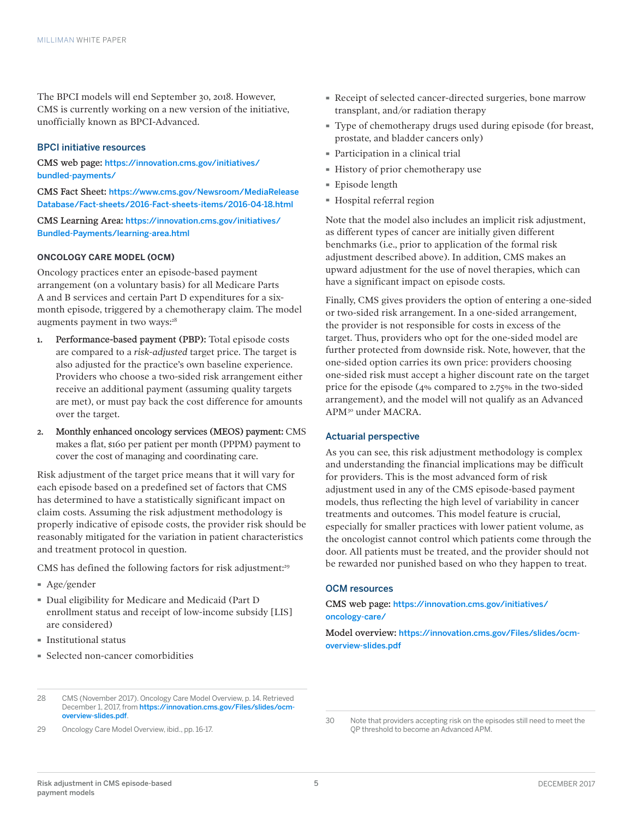The BPCI models will end September 30, 2018. However, CMS is currently working on a new version of the initiative, unofficially known as BPCI-Advanced.

#### BPCI initiative resources

CMS web page: [https://innovation.cms.gov/initiatives/](https://innovation.cms.gov/initiatives/bundled-payments/) [bundled-payments/](https://innovation.cms.gov/initiatives/bundled-payments/)

CMS Fact Sheet: [https://www.cms.gov/Newsroom/MediaRelease](https://www.cms.gov/Newsroom/MediaReleaseDatabase/Fact-sheets/2016-Fact-sheets-items/2016-04-18.html) [Database/Fact-sheets/2016-Fact-sheets-items/2016-04-18.html](https://www.cms.gov/Newsroom/MediaReleaseDatabase/Fact-sheets/2016-Fact-sheets-items/2016-04-18.html)

CMS Learning Area: [https://innovation.cms.gov/initiatives/](https://innovation.cms.gov/initiatives/Bundled-Payments/learning-area.html) [Bundled-Payments/learning-area.html](https://innovation.cms.gov/initiatives/Bundled-Payments/learning-area.html)

#### **ONCOLOGY CARE MODEL (OCM)**

Oncology practices enter an episode-based payment arrangement (on a voluntary basis) for all Medicare Parts A and B services and certain Part D expenditures for a sixmonth episode, triggered by a chemotherapy claim. The model augments payment in two ways:<sup>28</sup>

- 1. Performance-based payment (PBP): Total episode costs are compared to a *risk-adjusted* target price. The target is also adjusted for the practice's own baseline experience. Providers who choose a two-sided risk arrangement either receive an additional payment (assuming quality targets are met), or must pay back the cost difference for amounts over the target.
- 2. Monthly enhanced oncology services (MEOS) payment: CMS makes a flat, \$160 per patient per month (PPPM) payment to cover the cost of managing and coordinating care.

Risk adjustment of the target price means that it will vary for each episode based on a predefined set of factors that CMS has determined to have a statistically significant impact on claim costs. Assuming the risk adjustment methodology is properly indicative of episode costs, the provider risk should be reasonably mitigated for the variation in patient characteristics and treatment protocol in question.

CMS has defined the following factors for risk adjustment:<sup>29</sup>

- · Age/gender
- · Dual eligibility for Medicare and Medicaid (Part D enrollment status and receipt of low-income subsidy [LIS] are considered)
- · Institutional status
- · Selected non-cancer comorbidities

29 Oncology Care Model Overview, ibid., pp. 16-17.

- · Receipt of selected cancer-directed surgeries, bone marrow transplant, and/or radiation therapy
- · Type of chemotherapy drugs used during episode (for breast, prostate, and bladder cancers only)
- · Participation in a clinical trial
- · History of prior chemotherapy use
- · Episode length
- · Hospital referral region

Note that the model also includes an implicit risk adjustment, as different types of cancer are initially given different benchmarks (i.e., prior to application of the formal risk adjustment described above). In addition, CMS makes an upward adjustment for the use of novel therapies, which can have a significant impact on episode costs.

Finally, CMS gives providers the option of entering a one-sided or two-sided risk arrangement. In a one-sided arrangement, the provider is not responsible for costs in excess of the target. Thus, providers who opt for the one-sided model are further protected from downside risk. Note, however, that the one-sided option carries its own price: providers choosing one-sided risk must accept a higher discount rate on the target price for the episode (4% compared to 2.75% in the two-sided arrangement), and the model will not qualify as an Advanced APM30 under MACRA.

#### Actuarial perspective

As you can see, this risk adjustment methodology is complex and understanding the financial implications may be difficult for providers. This is the most advanced form of risk adjustment used in any of the CMS episode-based payment models, thus reflecting the high level of variability in cancer treatments and outcomes. This model feature is crucial, especially for smaller practices with lower patient volume, as the oncologist cannot control which patients come through the door. All patients must be treated, and the provider should not be rewarded nor punished based on who they happen to treat.

#### OCM resources

CMS web page: [https://innovation.cms.gov/initiatives/](https://innovation.cms.gov/initiatives/oncology-care/) [oncology-care/](https://innovation.cms.gov/initiatives/oncology-care/)

Model overview: [https://innovation.cms.gov/Files/slides/ocm](https://innovation.cms.gov/Files/slides/ocm-overview-slides.pdf)[overview-slides.pdf](https://innovation.cms.gov/Files/slides/ocm-overview-slides.pdf)

<sup>28</sup> CMS (November 2017). Oncology Care Model Overview, p. 14. Retrieved December 1, 2017, from [https://innovation.cms.gov/Files/slides/ocm](https://innovation.cms.gov/Files/slides/ocm-overview-slides.pdf)[overview-slides.pdf](https://innovation.cms.gov/Files/slides/ocm-overview-slides.pdf).

<sup>30</sup> Note that providers accepting risk on the episodes still need to meet the QP threshold to become an Advanced APM.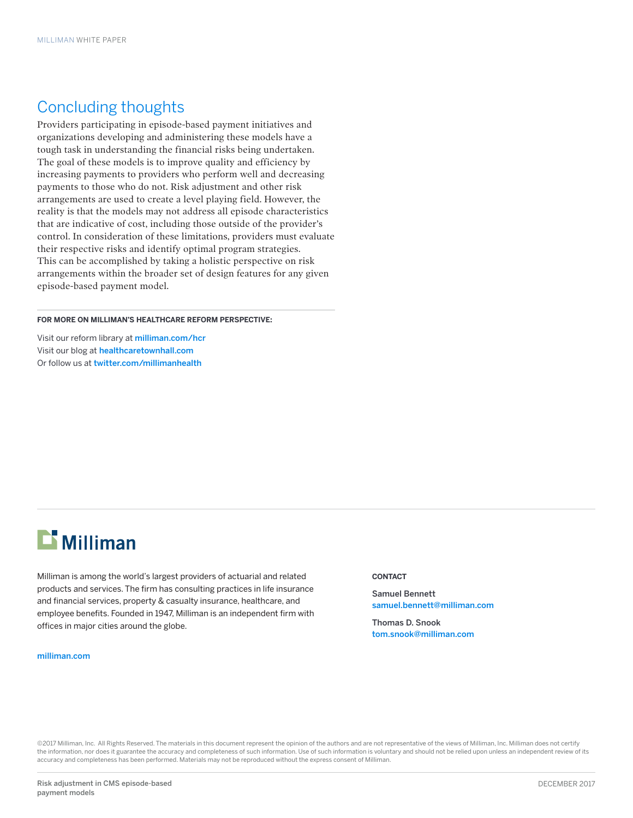### Concluding thoughts

Providers participating in episode-based payment initiatives and organizations developing and administering these models have a tough task in understanding the financial risks being undertaken. The goal of these models is to improve quality and efficiency by increasing payments to providers who perform well and decreasing payments to those who do not. Risk adjustment and other risk arrangements are used to create a level playing field. However, the reality is that the models may not address all episode characteristics that are indicative of cost, including those outside of the provider's control. In consideration of these limitations, providers must evaluate their respective risks and identify optimal program strategies. This can be accomplished by taking a holistic perspective on risk arrangements within the broader set of design features for any given episode-based payment model.

**FOR MORE ON MILLIMAN'S HEALTHCARE REFORM PERSPECTIVE:**

Visit our reform library at [milliman.com/h](http://milliman.com/hcr)c[r](http://milliman.com/insight/healthcare) Visit our blog at [healthcaretownhall.com](http://healthcaretownhall.com) Or follow us at [twitter.com/millimanhealth](http://twitter.com/millimanhealth)

# $\mathbf{r}$  Milliman

Milliman is among the world's largest providers of actuarial and related products and services. The firm has consulting practices in life insurance and financial services, property & casualty insurance, healthcare, and employee benefits. Founded in 1947, Milliman is an independent firm with offices in major cities around the globe.

#### [milliman.com](http://us.milliman.com)

#### **CONTACT**

Samuel Bennett samuel.bennett@milliman.com

Thomas D. Snook tom.snook@milliman.com

©2017 Milliman, Inc. All Rights Reserved. The materials in this document represent the opinion of the authors and are not representative of the views of Milliman, Inc. Milliman does not certify the information, nor does it guarantee the accuracy and completeness of such information. Use of such information is voluntary and should not be relied upon unless an independent review of its accuracy and completeness has been performed. Materials may not be reproduced without the express consent of Milliman.